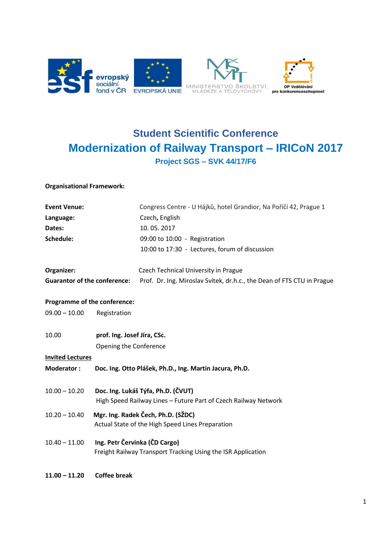

## **Student Scientific Conference Modernization of Railway Transport – IRICoN 2017 Project SGS – SVK 44/17/F6**

## **Organisational Framework:**

| <b>Event Venue:</b>                 |                                                                                                       | Congress Centre - U Hájků, hotel Grandior, Na Poříčí 42, Prague 1      |
|-------------------------------------|-------------------------------------------------------------------------------------------------------|------------------------------------------------------------------------|
| Language:                           |                                                                                                       | Czech, English                                                         |
| Dates:                              |                                                                                                       | 10.05.2017                                                             |
| Schedule:                           |                                                                                                       | 09:00 to 10:00 - Registration                                          |
|                                     |                                                                                                       | 10:00 to 17:30 - Lectures, forum of discussion                         |
| Organizer:                          |                                                                                                       | <b>Czech Technical University in Prague</b>                            |
| <b>Guarantor of the conference:</b> |                                                                                                       | Prof. Dr. Ing. Miroslav Svítek, dr.h.c., the Dean of FTS CTU in Prague |
| Programme of the conference:        |                                                                                                       |                                                                        |
| $09.00 - 10.00$                     | Registration                                                                                          |                                                                        |
| 10.00                               | prof. Ing. Josef Jíra, CSc.                                                                           |                                                                        |
|                                     | Opening the Conference                                                                                |                                                                        |
| <b>Invited Lectures</b>             |                                                                                                       |                                                                        |
| <b>Moderator:</b>                   |                                                                                                       | Doc. Ing. Otto Plášek, Ph.D., Ing. Martin Jacura, Ph.D.                |
| $10.00 - 10.20$                     | Doc. Ing. Lukáš Týfa, Ph.D. (ČVUT)<br>High Speed Railway Lines - Future Part of Czech Railway Network |                                                                        |
| $10.20 - 10.40$                     | Mgr. Ing. Radek Čech, Ph.D. (SŽDC)<br>Actual State of the High Speed Lines Preparation                |                                                                        |
| $10.40 - 11.00$                     | Ing. Petr Červinka (ČD Cargo)<br>Freight Railway Transport Tracking Using the ISR Application         |                                                                        |
| $11.00 - 11.20$                     | <b>Coffee break</b>                                                                                   |                                                                        |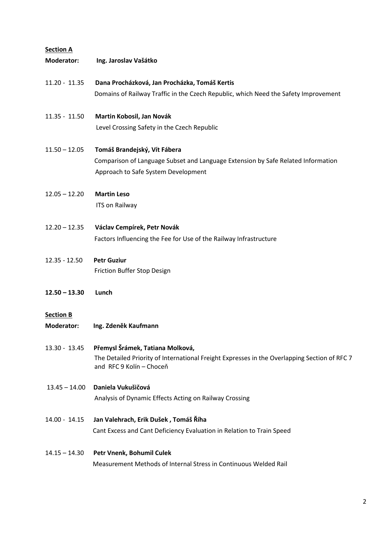| <b>Section A</b>                      |                                                                                                                                                              |  |  |
|---------------------------------------|--------------------------------------------------------------------------------------------------------------------------------------------------------------|--|--|
| Moderator:                            | Ing. Jaroslav Vašátko                                                                                                                                        |  |  |
| $11.20 - 11.35$                       | Dana Procházková, Jan Procházka, Tomáš Kertis<br>Domains of Railway Traffic in the Czech Republic, which Need the Safety Improvement                         |  |  |
| $11.35 - 11.50$                       | Martin Kobosil, Jan Novák<br>Level Crossing Safety in the Czech Republic                                                                                     |  |  |
| $11.50 - 12.05$                       | Tomáš Brandejský, Vít Fábera<br>Comparison of Language Subset and Language Extension by Safe Related Information<br>Approach to Safe System Development      |  |  |
| $12.05 - 12.20$                       | <b>Martin Leso</b><br>ITS on Railway                                                                                                                         |  |  |
| $12.20 - 12.35$                       | Václav Cempírek, Petr Novák<br>Factors Influencing the Fee for Use of the Railway Infrastructure                                                             |  |  |
| $12.35 - 12.50$                       | <b>Petr Guziur</b><br>Friction Buffer Stop Design                                                                                                            |  |  |
| $12.50 - 13.30$                       | Lunch                                                                                                                                                        |  |  |
| <b>Section B</b><br><b>Moderator:</b> | Ing. Zdeněk Kaufmann                                                                                                                                         |  |  |
| 13.30 - 13.45                         | Přemysl Šrámek, Tatiana Molková,<br>The Detailed Priority of International Freight Expresses in the Overlapping Section of RFC 7<br>and RFC 9 Kolín - Choceň |  |  |
| 13.45 - 14.00                         | Daniela Vukušičová<br>Analysis of Dynamic Effects Acting on Railway Crossing                                                                                 |  |  |
| 14.00 - 14.15                         | Jan Valehrach, Erik Dušek, Tomáš Říha<br>Cant Excess and Cant Deficiency Evaluation in Relation to Train Speed                                               |  |  |
| $14.15 - 14.30$                       | Petr Vnenk, Bohumil Culek<br>Measurement Methods of Internal Stress in Continuous Welded Rail                                                                |  |  |